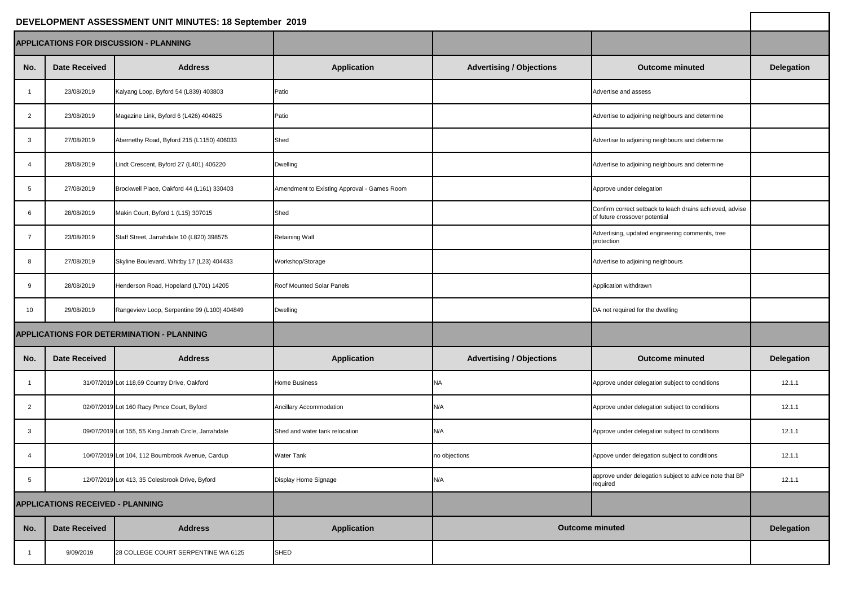| DEVELOPMENT ASSESSMENT UNIT MINUTES: 18 September 2019 |                      |                                                       |                                             |                                 |                                                                                           |                   |
|--------------------------------------------------------|----------------------|-------------------------------------------------------|---------------------------------------------|---------------------------------|-------------------------------------------------------------------------------------------|-------------------|
| <b>APPLICATIONS FOR DISCUSSION - PLANNING</b>          |                      |                                                       |                                             |                                 |                                                                                           |                   |
| No.                                                    | <b>Date Received</b> | <b>Address</b>                                        | <b>Application</b>                          | <b>Advertising / Objections</b> | <b>Outcome minuted</b>                                                                    | <b>Delegation</b> |
|                                                        | 23/08/2019           | Kalyang Loop, Byford 54 (L839) 403803                 | Patio                                       |                                 | Advertise and assess                                                                      |                   |
| 2                                                      | 23/08/2019           | Magazine Link, Byford 6 (L426) 404825                 | Patio                                       |                                 | Advertise to adjoining neighbours and determine                                           |                   |
| -3                                                     | 27/08/2019           | Abernethy Road, Byford 215 (L1150) 406033             | Shed                                        |                                 | Advertise to adjoining neighbours and determine                                           |                   |
|                                                        | 28/08/2019           | Lindt Crescent, Byford 27 (L401) 406220               | <b>Dwelling</b>                             |                                 | Advertise to adjoining neighbours and determine                                           |                   |
|                                                        | 27/08/2019           | Brockwell Place, Oakford 44 (L161) 330403             | Amendment to Existing Approval - Games Room |                                 | Approve under delegation                                                                  |                   |
| 6                                                      | 28/08/2019           | Makin Court, Byford 1 (L15) 307015                    | Shed                                        |                                 | Confirm correct setback to leach drains achieved, advise<br>of future crossover potential |                   |
|                                                        | 23/08/2019           | Staff Street, Jarrahdale 10 (L820) 398575             | <b>Retaining Wall</b>                       |                                 | Advertising, updated engineering comments, tree<br>protection                             |                   |
|                                                        | 27/08/2019           | Skyline Boulevard, Whitby 17 (L23) 404433             | Workshop/Storage                            |                                 | Advertise to adjoining neighbours                                                         |                   |
| -9                                                     | 28/08/2019           | Henderson Road, Hopeland (L701) 14205                 | <b>Roof Mounted Solar Panels</b>            |                                 | Application withdrawn                                                                     |                   |
| 10 <sup>°</sup>                                        | 29/08/2019           | Rangeview Loop, Serpentine 99 (L100) 404849           | <b>Dwelling</b>                             |                                 | DA not required for the dwelling                                                          |                   |
| <b>APPLICATIONS FOR DETERMINATION - PLANNING</b>       |                      |                                                       |                                             |                                 |                                                                                           |                   |
| No.                                                    | <b>Date Received</b> | <b>Address</b>                                        | <b>Application</b>                          | <b>Advertising / Objections</b> | <b>Outcome minuted</b>                                                                    | <b>Delegation</b> |
|                                                        |                      | 31/07/2019 Lot 118,69 Country Drive, Oakford          | <b>Home Business</b>                        | <b>NA</b>                       | Approve under delegation subject to conditions                                            | 12.1.1            |
| $\overline{2}$                                         |                      | 02/07/2019 Lot 160 Racy Prnce Court, Byford           | <b>Ancillary Accommodation</b>              | N/A                             | Approve under delegation subject to conditions                                            | 12.1.1            |
| -3                                                     |                      | 09/07/2019 Lot 155, 55 King Jarrah Circle, Jarrahdale | Shed and water tank relocation              | N/A                             | Approve under delegation subject to conditions                                            | 12.1.1            |
|                                                        |                      | 10/07/2019 Lot 104, 112 Bournbrook Avenue, Cardup     | <b>Water Tank</b>                           | no objections                   | Appove under delegation subject to conditions                                             | 12.1.1            |
|                                                        |                      | 12/07/2019 Lot 413, 35 Colesbrook Drive, Byford       | Display Home Signage                        | N/A                             | approve under delegation subject to advice note that BP<br>required                       | 12.1.1            |
| <b>APPLICATIONS RECEIVED - PLANNING</b>                |                      |                                                       |                                             |                                 |                                                                                           |                   |
| No.                                                    | <b>Date Received</b> | <b>Address</b>                                        | <b>Application</b>                          |                                 | <b>Outcome minuted</b>                                                                    | <b>Delegation</b> |
|                                                        | 9/09/2019            | 28 COLLEGE COURT SERPENTINE WA 6125                   | SHED                                        |                                 |                                                                                           |                   |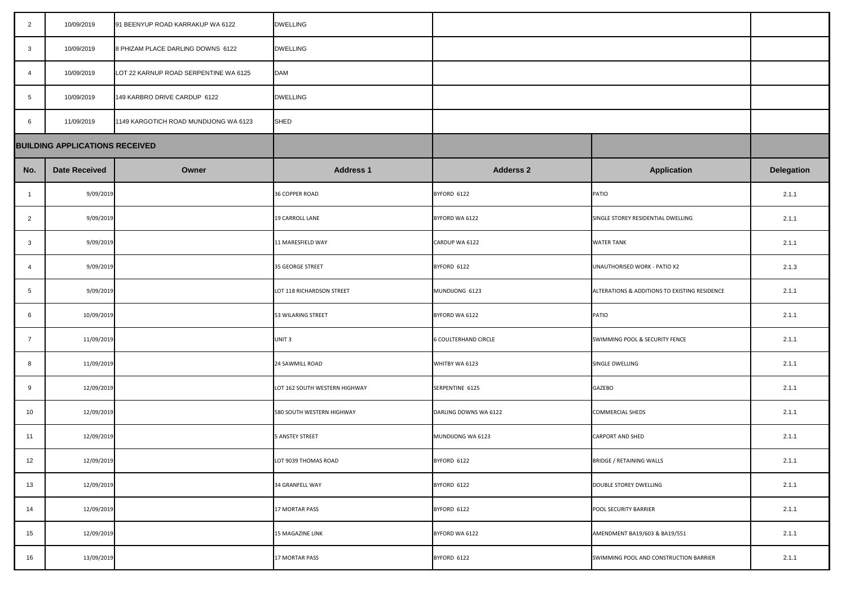| $\overline{2}$  | 10/09/2019                            | 91 BEENYUP ROAD KARRAKUP WA 6122      | <b>DWELLING</b>               |                             |                                               |                   |
|-----------------|---------------------------------------|---------------------------------------|-------------------------------|-----------------------------|-----------------------------------------------|-------------------|
| $\mathbf{3}$    | 10/09/2019                            | 8 PHIZAM PLACE DARLING DOWNS 6122     | <b>DWELLING</b>               |                             |                                               |                   |
| $\overline{4}$  | 10/09/2019                            | LOT 22 KARNUP ROAD SERPENTINE WA 6125 | <b>DAM</b>                    |                             |                                               |                   |
| $5\phantom{.0}$ | 10/09/2019                            | 149 KARBRO DRIVE CARDUP 6122          | <b>DWELLING</b>               |                             |                                               |                   |
| 6               | 11/09/2019                            | 1149 KARGOTICH ROAD MUNDIJONG WA 6123 | SHED                          |                             |                                               |                   |
|                 | <b>BUILDING APPLICATIONS RECEIVED</b> |                                       |                               |                             |                                               |                   |
| No.             | <b>Date Received</b>                  | Owner                                 | <b>Address 1</b>              | <b>Adderss 2</b>            | <b>Application</b>                            | <b>Delegation</b> |
| - 1             | 9/09/2019                             |                                       | 36 COPPER ROAD                | BYFORD 6122                 | PATIO                                         | 2.1.1             |
| $\overline{2}$  | 9/09/2019                             |                                       | 19 CARROLL LANE               | BYFORD WA 6122              | SINGLE STOREY RESIDENTIAL DWELLING            | 2.1.1             |
| $\mathbf{3}$    | 9/09/2019                             |                                       | 11 MARESFIELD WAY             | CARDUP WA 6122              | <b>WATER TANK</b>                             | 2.1.1             |
| $\overline{4}$  | 9/09/2019                             |                                       | 35 GEORGE STREET              | BYFORD 6122                 | UNAUTHORISED WORK - PATIO X2                  | 2.1.3             |
| $5\overline{)}$ | 9/09/2019                             |                                       | LOT 118 RICHARDSON STREET     | MUNDIJONG 6123              | ALTERATIONS & ADDITIONS TO EXISTING RESIDENCE | 2.1.1             |
| 6               | 10/09/2019                            |                                       | 53 WILARING STREET            | BYFORD WA 6122              | PATIO                                         | 2.1.1             |
| $\overline{7}$  | 11/09/2019                            |                                       | UNIT <sub>3</sub>             | <b>6 COULTERHAND CIRCLE</b> | SWIMMING POOL & SECURITY FENCE                | 2.1.1             |
| 8               | 11/09/2019                            |                                       | 24 SAWMILL ROAD               | WHITBY WA 6123              | SINGLE DWELLING                               | 2.1.1             |
| 9               | 12/09/2019                            |                                       | LOT 162 SOUTH WESTERN HIGHWAY | SERPENTINE 6125             | <b>GAZEBO</b>                                 | 2.1.1             |
| 10              | 12/09/2019                            |                                       | 580 SOUTH WESTERN HIGHWAY     | DARLING DOWNS WA 6122       | <b>COMMERCIAL SHEDS</b>                       | 2.1.1             |
| 11              | 12/09/2019                            |                                       | 5 ANSTEY STREET               | MUNDIJONG WA 6123           | <b>CARPORT AND SHED</b>                       | 2.1.1             |
| 12              | 12/09/2019                            |                                       | LOT 9039 THOMAS ROAD          | BYFORD 6122                 | BRIDGE / RETAINING WALLS                      | 2.1.1             |
| 13              | 12/09/2019                            |                                       | <b>34 GRANFELL WAY</b>        | BYFORD 6122                 | DOUBLE STOREY DWELLING                        | 2.1.1             |
| 14              | 12/09/2019                            |                                       | <b>17 MORTAR PASS</b>         | BYFORD 6122                 | <b>POOL SECURITY BARRIER</b>                  | 2.1.1             |
| 15              | 12/09/2019                            |                                       | 15 MAGAZINE LINK              | BYFORD WA 6122              | AMENDMENT BA19/603 & BA19/551                 | 2.1.1             |
| 16              | 13/09/2019                            |                                       | <b>17 MORTAR PASS</b>         | BYFORD 6122                 | SWIMMING POOL AND CONSTRUCTION BARRIER        | 2.1.1             |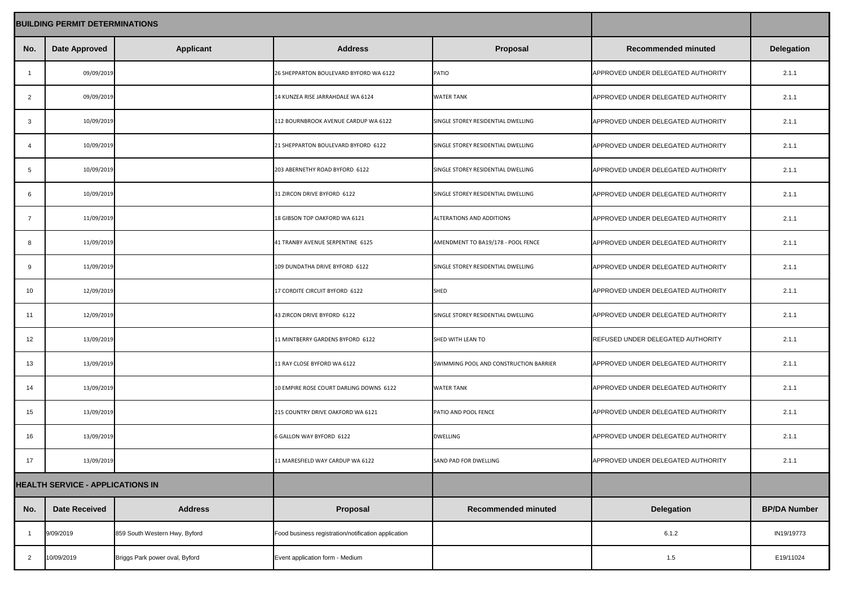| <b>BUILDING PERMIT DETERMINATIONS</b>   |                      |                                |                                                     |                                        |                                    |                     |
|-----------------------------------------|----------------------|--------------------------------|-----------------------------------------------------|----------------------------------------|------------------------------------|---------------------|
| No.                                     | <b>Date Approved</b> | <b>Applicant</b>               | <b>Address</b>                                      | <b>Proposal</b>                        | <b>Recommended minuted</b>         | <b>Delegation</b>   |
|                                         | 09/09/2019           |                                | 26 SHEPPARTON BOULEVARD BYFORD WA 6122              | PATIO                                  | APPROVED UNDER DELEGATED AUTHORITY | 2.1.1               |
| $\overline{2}$                          | 09/09/2019           |                                | 14 KUNZEA RISE JARRAHDALE WA 6124                   | <b>WATER TANK</b>                      | APPROVED UNDER DELEGATED AUTHORITY | 2.1.1               |
| 3                                       | 10/09/2019           |                                | 112 BOURNBROOK AVENUE CARDUP WA 6122                | SINGLE STOREY RESIDENTIAL DWELLING     | APPROVED UNDER DELEGATED AUTHORITY | 2.1.1               |
|                                         | 10/09/2019           |                                | 21 SHEPPARTON BOULEVARD BYFORD 6122                 | SINGLE STOREY RESIDENTIAL DWELLING     | APPROVED UNDER DELEGATED AUTHORITY | 2.1.1               |
|                                         | 10/09/2019           |                                | 203 ABERNETHY ROAD BYFORD 6122                      | SINGLE STOREY RESIDENTIAL DWELLING     | APPROVED UNDER DELEGATED AUTHORITY | 2.1.1               |
| 6                                       | 10/09/2019           |                                | 31 ZIRCON DRIVE BYFORD 6122                         | SINGLE STOREY RESIDENTIAL DWELLING     | APPROVED UNDER DELEGATED AUTHORITY | 2.1.1               |
|                                         | 11/09/2019           |                                | 18 GIBSON TOP OAKFORD WA 6121                       | ALTERATIONS AND ADDITIONS              | APPROVED UNDER DELEGATED AUTHORITY | 2.1.1               |
|                                         | 11/09/2019           |                                | 41 TRANBY AVENUE SERPENTINE 6125                    | AMENDMENT TO BA19/178 - POOL FENCE     | APPROVED UNDER DELEGATED AUTHORITY | 2.1.1               |
| 9                                       | 11/09/2019           |                                | 109 DUNDATHA DRIVE BYFORD 6122                      | SINGLE STOREY RESIDENTIAL DWELLING     | APPROVED UNDER DELEGATED AUTHORITY | 2.1.1               |
| 10                                      | 12/09/2019           |                                | 17 CORDITE CIRCUIT BYFORD 6122                      | <b>SHED</b>                            | APPROVED UNDER DELEGATED AUTHORITY | 2.1.1               |
| 11                                      | 12/09/2019           |                                | 43 ZIRCON DRIVE BYFORD 6122                         | SINGLE STOREY RESIDENTIAL DWELLING     | APPROVED UNDER DELEGATED AUTHORITY | 2.1.1               |
| 12                                      | 13/09/2019           |                                | 11 MINTBERRY GARDENS BYFORD 6122                    | SHED WITH LEAN TO                      | REFUSED UNDER DELEGATED AUTHORITY  | 2.1.1               |
| 13                                      | 13/09/2019           |                                | 11 RAY CLOSE BYFORD WA 6122                         | SWIMMING POOL AND CONSTRUCTION BARRIER | APPROVED UNDER DELEGATED AUTHORITY | 2.1.1               |
| 14                                      | 13/09/2019           |                                | 10 EMPIRE ROSE COURT DARLING DOWNS 6122             | <b>WATER TANK</b>                      | APPROVED UNDER DELEGATED AUTHORITY | 2.1.1               |
| 15                                      | 13/09/2019           |                                | 215 COUNTRY DRIVE OAKFORD WA 6121                   | PATIO AND POOL FENCE                   | APPROVED UNDER DELEGATED AUTHORITY | 2.1.1               |
| 16                                      | 13/09/2019           |                                | 6 GALLON WAY BYFORD 6122                            | <b>DWELLING</b>                        | APPROVED UNDER DELEGATED AUTHORITY | 2.1.1               |
| 17                                      | 13/09/2019           |                                | 11 MARESFIELD WAY CARDUP WA 6122                    | <b>SAND PAD FOR DWELLING</b>           | APPROVED UNDER DELEGATED AUTHORITY | 2.1.1               |
| <b>HEALTH SERVICE - APPLICATIONS IN</b> |                      |                                |                                                     |                                        |                                    |                     |
| No.                                     | <b>Date Received</b> | <b>Address</b>                 | <b>Proposal</b>                                     | <b>Recommended minuted</b>             | <b>Delegation</b>                  | <b>BP/DA Number</b> |
|                                         | 9/09/2019            | 859 South Western Hwy, Byford  | Food business registration/notification application |                                        | 6.1.2                              | IN19/19773          |
| $\overline{2}$                          | 10/09/2019           | Briggs Park power oval, Byford | Event application form - Medium                     |                                        | $1.5$                              | E19/11024           |